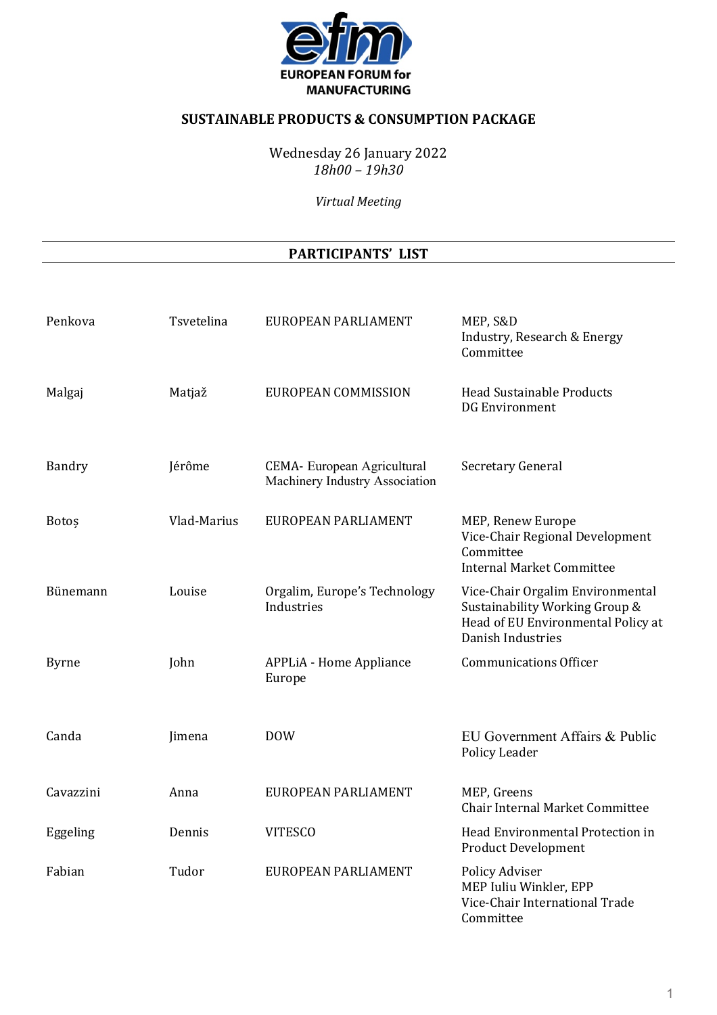

# **SUSTAINABLE PRODUCTS & CONSUMPTION PACKAGE**

Wednesday 26 January 2022 *18h00 – 19h30*

*Virtual Meeting* 

#### **PARTICIPANTS' LIST**

| Penkova      | Tsvetelina  | EUROPEAN PARLIAMENT                                           | MEP, S&D<br>Industry, Research & Energy<br>Committee                                                                          |
|--------------|-------------|---------------------------------------------------------------|-------------------------------------------------------------------------------------------------------------------------------|
| Malgaj       | Matjaž      | EUROPEAN COMMISSION                                           | <b>Head Sustainable Products</b><br><b>DG Environment</b>                                                                     |
| Bandry       | Jérôme      | CEMA- European Agricultural<br>Machinery Industry Association | Secretary General                                                                                                             |
| Botos        | Vlad-Marius | EUROPEAN PARLIAMENT                                           | MEP, Renew Europe<br>Vice-Chair Regional Development<br>Committee<br><b>Internal Market Committee</b>                         |
| Bünemann     | Louise      | Orgalim, Europe's Technology<br>Industries                    | Vice-Chair Orgalim Environmental<br>Sustainability Working Group &<br>Head of EU Environmental Policy at<br>Danish Industries |
| <b>Byrne</b> | John        | <b>APPLiA - Home Appliance</b><br>Europe                      | <b>Communications Officer</b>                                                                                                 |
| Canda        | Jimena      | <b>DOW</b>                                                    | EU Government Affairs & Public<br>Policy Leader                                                                               |
| Cavazzini    | Anna        | EUROPEAN PARLIAMENT                                           | MEP, Greens<br>Chair Internal Market Committee                                                                                |
| Eggeling     | Dennis      | <b>VITESCO</b>                                                | Head Environmental Protection in<br><b>Product Development</b>                                                                |
| Fabian       | Tudor       | EUROPEAN PARLIAMENT                                           | Policy Adviser<br>MEP Iuliu Winkler, EPP<br>Vice-Chair International Trade<br>Committee                                       |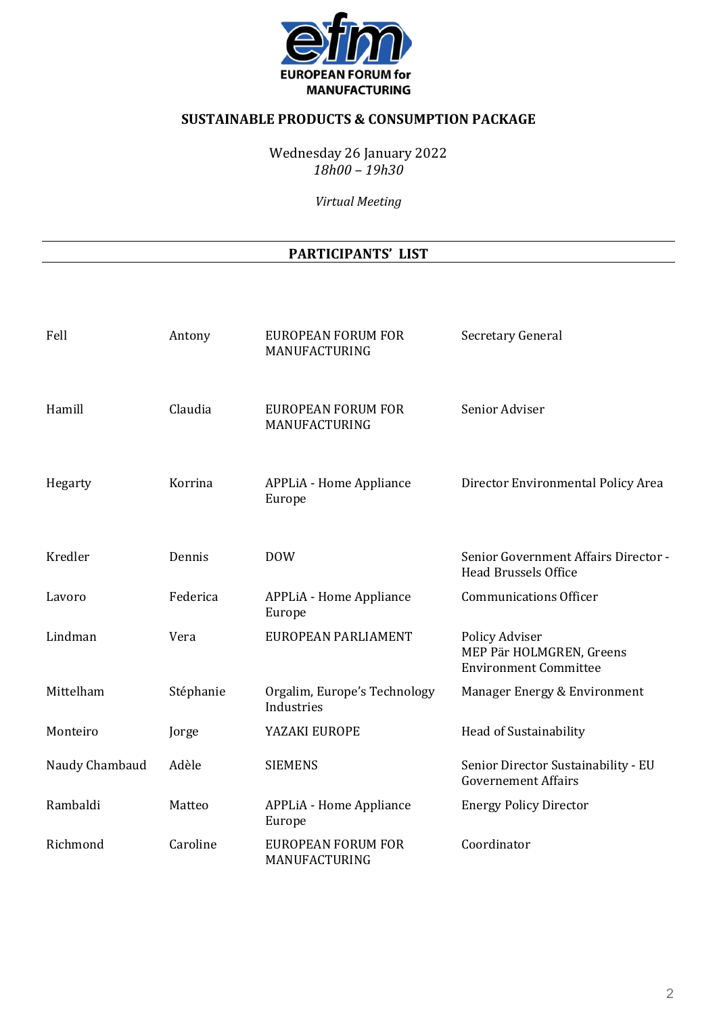

# **SUSTAINABLE PRODUCTS & CONSUMPTION PACKAGE**

Wednesday 26 January 2022 *18h00 – 19h30*

*Virtual Meeting* 

#### **PARTICIPANTS' LIST**

| Fell           | Antony    | <b>EUROPEAN FORUM FOR</b><br>MANUFACTURING | <b>Secretary General</b>                                                   |
|----------------|-----------|--------------------------------------------|----------------------------------------------------------------------------|
| Hamill         | Claudia   | <b>EUROPEAN FORUM FOR</b><br>MANUFACTURING | Senior Adviser                                                             |
| Hegarty        | Korrina   | <b>APPLiA - Home Appliance</b><br>Europe   | Director Environmental Policy Area                                         |
| Kredler        | Dennis    | <b>DOW</b>                                 | Senior Government Affairs Director -<br><b>Head Brussels Office</b>        |
| Lavoro         | Federica  | <b>APPLiA - Home Appliance</b><br>Europe   | <b>Communications Officer</b>                                              |
| Lindman        | Vera      | EUROPEAN PARLIAMENT                        | Policy Adviser<br>MEP Pär HOLMGREN, Greens<br><b>Environment Committee</b> |
| Mittelham      | Stéphanie | Orgalim, Europe's Technology<br>Industries | Manager Energy & Environment                                               |
| Monteiro       | Jorge     | YAZAKI EUROPE                              | Head of Sustainability                                                     |
| Naudy Chambaud | Adèle     | <b>SIEMENS</b>                             | Senior Director Sustainability - EU<br><b>Governement Affairs</b>          |
| Rambaldi       | Matteo    | <b>APPLiA - Home Appliance</b><br>Europe   | <b>Energy Policy Director</b>                                              |
| Richmond       | Caroline  | <b>EUROPEAN FORUM FOR</b><br>MANUFACTURING | Coordinator                                                                |